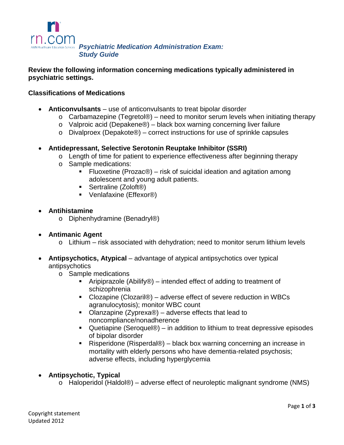

*Psychiatric Medication Administration Exam: Study Guide*

### **Review the following information concerning medications typically administered in psychiatric settings.**

### **Classifications of Medications**

- **Anticonvulsants** use of anticonvulsants to treat bipolar disorder
	- $\circ$  Carbamazepine (Tegretol®) need to monitor serum levels when initiating therapy
	- o Valproic acid (Depakene®) black box warning concerning liver failure
	- $\circ$  Divalproex (Depakote®) correct instructions for use of sprinkle capsules
- **Antidepressant, Selective Serotonin Reuptake Inhibitor (SSRI)**
	- $\circ$  Length of time for patient to experience effectiveness after beginning therapy
	- o Sample medications:
		- Fluoxetine (Prozac<sup>®</sup>) risk of suicidal ideation and agitation among adolescent and young adult patients.
		- Sertraline (Zoloft<sup>®</sup>)
		- Venlafaxine (Effexor<sup>®</sup>)
- **Antihistamine**
	- o Diphenhydramine (Benadryl®)
- **Antimanic Agent**
	- $\circ$  Lithium risk associated with dehydration; need to monitor serum lithium levels
- **Antipsychotics, Atypical** advantage of atypical antipsychotics over typical antipsychotics
	- o Sample medications
		- **F** Aripiprazole (Abilify<sup>®</sup>) intended effect of adding to treatment of schizophrenia
		- Clozapine (Clozaril®) adverse effect of severe reduction in WBCs agranulocytosis); monitor WBC count
		- Olanzapine (Zyprexa®) adverse effects that lead to noncompliance/nonadherence
		- Quetiapine (Seroque®) in addition to lithium to treat depressive episodes of bipolar disorder
		- Risperidone (Risperdal®) black box warning concerning an increase in mortality with elderly persons who have dementia-related psychosis; adverse effects, including hyperglycemia
- **Antipsychotic, Typical**
	- o Haloperidol (Haldol®) adverse effect of neuroleptic malignant syndrome (NMS)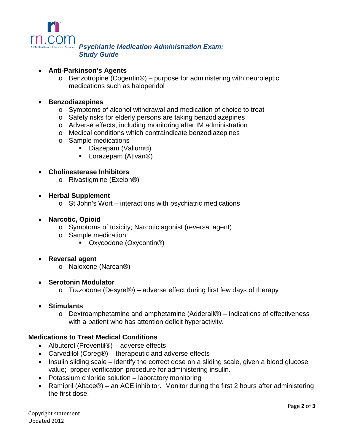

*Psychiatric Medication Administration Exam: Study Guide*

### • **Anti-Parkinson's Agents**

o Benzotropine (Cogentin®) – purpose for administering with neuroleptic medications such as haloperidol

### • **Benzodiazepines**

- o Symptoms of alcohol withdrawal and medication of choice to treat
- o Safety risks for elderly persons are taking benzodiazepines
- o Adverse effects, including monitoring after IM administration
- o Medical conditions which contraindicate benzodiazepines
- o Sample medications
	- Diazepam (Valium®)
	- Lorazepam (Ativan®)

### • **Cholinesterase Inhibitors**

o Rivastigmine (Exelon®)

### • **Herbal Supplement**

o St John's Wort – interactions with psychiatric medications

### • **Narcotic, Opioid**

- o Symptoms of toxicity; Narcotic agonist (reversal agent)
- o Sample medication:
	- Oxycodone (Oxycontin<sup>®)</sup>

### • **Reversal agent**

o Naloxone (Narcan®)

### • **Serotonin Modulator**

 $\circ$  Trazodone (Desyrel®) – adverse effect during first few days of therapy

### • **Stimulants**

o Dextroamphetamine and amphetamine (Adderall®) – indications of effectiveness with a patient who has attention deficit hyperactivity.

### **Medications to Treat Medical Conditions**

- Albuterol (Proventil®) adverse effects
- Carvedilol (Coreg®) therapeutic and adverse effects
- Insulin sliding scale identify the correct dose on a sliding scale, given a blood glucose value; proper verification procedure for administering insulin.
- Potassium chloride solution laboratory monitoring
- Ramipril (Altace®) an ACE inhibitor. Monitor during the first 2 hours after administering the first dose.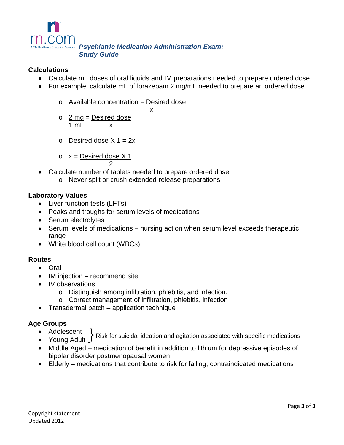

# *Psychiatric Medication Administration Exam: Study Guide*

x

# **Calculations**

- Calculate mL doses of oral liquids and IM preparations needed to prepare ordered dose
- For example, calculate mL of lorazepam 2 mg/mL needed to prepare an ordered dose
	- $o$  Available concentration = Desired dose
	- $\circ$  2 mg = Desired dose  $1 \text{ ml} \times$
	- $\circ$  Desired dose X 1 = 2x

$$
x = \underline{\text{Desired dose X 1}}
$$

 $\mathfrak{p}$ 

- Calculate number of tablets needed to prepare ordered dose
	- o Never split or crush extended-release preparations

## **Laboratory Values**

- Liver function tests (LFTs)
- Peaks and troughs for serum levels of medications
- Serum electrolytes
- Serum levels of medications nursing action when serum level exceeds therapeutic range
- White blood cell count (WBCs)

# **Routes**

- Oral
- IM injection recommend site
- IV observations
	- o Distinguish among infiltration, phlebitis, and infection.
	- o Correct management of infiltration, phlebitis, infection
- Transdermal patch application technique

# **Age Groups**

- Adolescent
- Young Adult Risk for suicidal ideation and agitation associated with specific medications
- Middle Aged medication of benefit in addition to lithium for depressive episodes of bipolar disorder postmenopausal women
- Elderly medications that contribute to risk for falling; contraindicated medications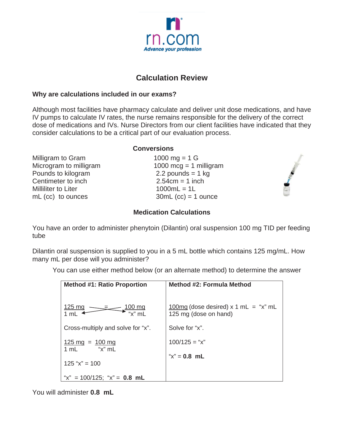

# **Calculation Review**

# **Why are calculations included in our exams?**

Although most facilities have pharmacy calculate and deliver unit dose medications, and have IV pumps to calculate IV rates, the nurse remains responsible for the delivery of the correct dose of medications and IVs. Nurse Directors from our client facilities have indicated that they consider calculations to be a critical part of our evaluation process.

| <b>Conversions</b>     |  |
|------------------------|--|
| 1000 mg = $1 G$        |  |
| 1000 mcg = 1 milligram |  |
| 2.2 pounds = $1$ kg    |  |
| $2.54cm = 1$ inch      |  |
| $1000mL = 1L$          |  |
| $30mL$ (cc) = 1 ounce  |  |
|                        |  |

# **Medication Calculations**

You have an order to administer phenytoin (Dilantin) oral suspension 100 mg TID per feeding tube

Dilantin oral suspension is supplied to you in a 5 mL bottle which contains 125 mg/mL. How many mL per dose will you administer?

You can use either method below (or an alternate method) to determine the answer

| <b>Method #1: Ratio Proportion</b>                  | Method #2: Formula Method              |
|-----------------------------------------------------|----------------------------------------|
| <u>125 mg</u><br><u>100 mg</u>                      | $100mg$ (dose desired) x 1 mL = "x" mL |
| 1 mL                                                | 125 mg (dose on hand)                  |
| Cross-multiply and solve for "x".                   | Solve for "x".                         |
| $125 \text{ mg} = 100 \text{ mg}$<br>"x" ml<br>1 mL | $100/125 = "x"$                        |
| $125$ "x" = 100                                     | " $x$ " = 0.8 mL                       |
| "x" = $100/125$ ; "x" = <b>0.8 mL</b>               |                                        |

You will administer **0.8 mL**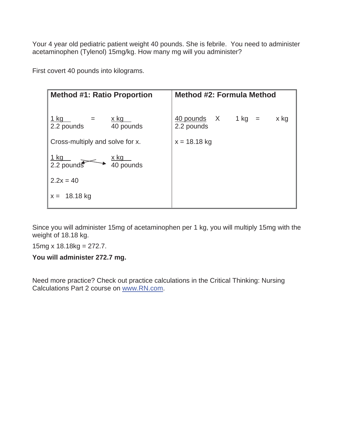Your 4 year old pediatric patient weight 40 pounds. She is febrile. You need to administer acetaminophen (Tylenol) 15mg/kg. How many mg will you administer?

First covert 40 pounds into kilograms.

| <b>Method #1: Ratio Proportion</b>                                                    | <b>Method #2: Formula Method</b>                                             |
|---------------------------------------------------------------------------------------|------------------------------------------------------------------------------|
| <u>1 kg</u><br><u>x kg _</u><br>2.2 pounds<br>40 pounds                               | $\frac{40 \text{ pounds}}{40 \text{ pounds}}$ X 1 kg =<br>x kg<br>2.2 pounds |
| Cross-multiply and solve for x.                                                       | $x = 18.18$ kg                                                               |
| $\frac{1 \text{ kg}}{2.2 \text{ pounds}}$<br>$\frac{x \text{ kg}}{40 \text{ pounds}}$ |                                                                              |
| $2.2x = 40$                                                                           |                                                                              |
| $x = 18.18$ kg                                                                        |                                                                              |

Since you will administer 15mg of acetaminophen per 1 kg, you will multiply 15mg with the weight of 18.18 kg.

15mg x 18.18kg = 272.7.

**You will administer 272.7 mg.** 

Need more practice? Check out practice calculations in the Critical Thinking: Nursing Calculations Part 2 course on www.RN.com.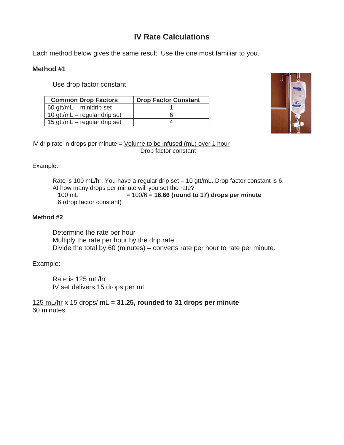# **IV Rate Calculations**

Each method below gives the same result. Use the one most familiar to you.

### **Method #1**

Use drop factor constant

| <b>Common Drop Factors</b>     | <b>Drop Factor Constant</b> |
|--------------------------------|-----------------------------|
| 60 gtt/mL $-$ minidrip set     |                             |
| 10 gtt/mL $-$ regular drip set |                             |
| 15 gtt/mL – regular drip set   |                             |



IV drip rate in drops per minute  $=$  Volume to be infused (mL) over 1 hour Drop factor constant

### Example:

Rate is 100 mL/hr. You have a regular drip set – 10 gtt/mL. Drop factor constant is 6. At how many drops per minute will you set the rate?<br> $100 \text{ mL} = 100/6 = 16.66$  (round to  $= 100/6 = 16.66$  (round to 17) drops per minute 6 (drop factor constant)

### **Method #2**

Determine the rate per hour Multiply the rate per hour by the drip rate Divide the total by 60 (minutes) – converts rate per hour to rate per minute.

### Example:

Rate is 125 mL/hr IV set delivers 15 drops per mL

125 mL/hr x 15 drops/ mL = **31.25, rounded to 31 drops per minute** 60 minutes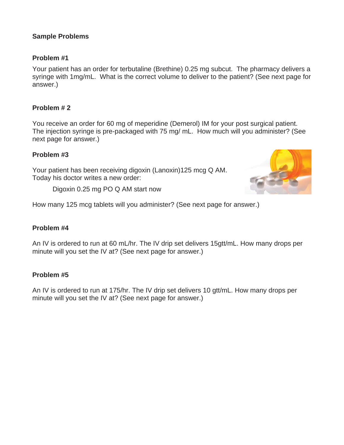# **Sample Problems**

# **Problem #1**

Your patient has an order for terbutaline (Brethine) 0.25 mg subcut. The pharmacy delivers a syringe with 1mg/mL. What is the correct volume to deliver to the patient? (See next page for answer.)

# **Problem # 2**

You receive an order for 60 mg of meperidine (Demerol) IM for your post surgical patient. The injection syringe is pre-packaged with 75 mg/ mL. How much will you administer? (See next page for answer.)

## **Problem #3**

Your patient has been receiving digoxin (Lanoxin)125 mcg Q AM. Today his doctor writes a new order:

Digoxin 0.25 mg PO Q AM start now



How many 125 mcg tablets will you administer? (See next page for answer.)

### **Problem #4**

An IV is ordered to run at 60 mL/hr. The IV drip set delivers 15gtt/mL. How many drops per minute will you set the IV at? (See next page for answer.)

# **Problem #5**

An IV is ordered to run at 175/hr. The IV drip set delivers 10 gtt/mL. How many drops per minute will you set the IV at? (See next page for answer.)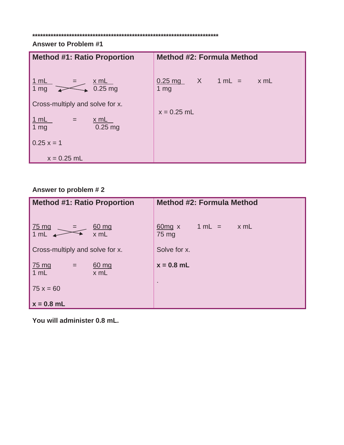#### **\*\*\*\*\*\*\*\*\*\*\*\*\*\*\*\*\*\*\*\*\*\*\*\*\*\*\*\*\*\*\*\*\*\*\*\*\*\*\*\*\*\*\*\*\*\*\*\*\*\*\*\*\*\*\*\*\*\*\*\*\*\*\*\*\*\*\*\*\*\*\***

# **Answer to Problem #1**

| <b>Method #1: Ratio Proportion</b>                                                     | <b>Method #2: Formula Method</b>                      |
|----------------------------------------------------------------------------------------|-------------------------------------------------------|
| 1 mL<br><u>x mL</u><br>$0.25$ mg<br>1 <sub>mg</sub><br>Cross-multiply and solve for x. | $X \t 1mL =$<br>x mL<br>$0.25$ mg<br>$1 \, \text{mg}$ |
|                                                                                        | $x = 0.25$ mL                                         |
| 1 mL<br>x mL<br>$=$<br>$0.25$ mg<br>1 <sub>mg</sub>                                    |                                                       |
| $0.25 x = 1$                                                                           |                                                       |
| $x = 0.25$ mL                                                                          |                                                       |

# **Answer to problem # 2**

| <b>Method #1: Ratio Proportion</b>                   | <b>Method #2: Formula Method</b>    |
|------------------------------------------------------|-------------------------------------|
|                                                      |                                     |
| $\frac{75 \text{ mg}}{1 \text{ mL}}$<br>60 mg<br>$=$ | $1 mL =$<br>$x$ mL<br>$60mg \times$ |
| $x$ mL                                               | 75 mg                               |
| Cross-multiply and solve for x.                      | Solve for x.                        |
|                                                      | $x = 0.8$ mL                        |
| <u>75 mg</u><br>60 mg<br>$=$<br>1 mL<br>x mL         |                                     |
|                                                      | $\blacksquare$                      |
| $75x = 60$                                           |                                     |
| $x = 0.8$ mL                                         |                                     |

**You will administer 0.8 mL.**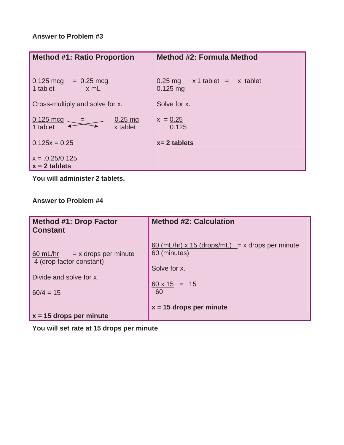# **Answer to Problem #3**

| <b>Method #1: Ratio Proportion</b>                                  | <b>Method #2: Formula Method</b>                     |
|---------------------------------------------------------------------|------------------------------------------------------|
| $0.125 \text{ mcg}$<br>$= 0.25 \text{ mcg}$<br>1 tablet<br>$x$ mL   | $x 1$ tablet = $x$ tablet<br>$0.25$ mg<br>$0.125$ mg |
| Cross-multiply and solve for x.                                     | Solve for x.                                         |
| $0.125 \text{ mcg}$<br>$0.25 \,\mathrm{mg}$<br>x tablet<br>1 tablet | $x = 0.25$<br>0.125                                  |
| $0.125x = 0.25$                                                     | $x = 2$ tablets                                      |
| $x = .0.25/0.125$<br>$x = 2$ tablets                                |                                                      |

**You will administer 2 tablets.** 

**Answer to Problem #4** 

| <b>Method #1: Drop Factor</b><br><b>Constant</b>                        | <b>Method #2: Calculation</b>                                                                 |
|-------------------------------------------------------------------------|-----------------------------------------------------------------------------------------------|
| $\underline{60}$ mL/hr = x drops per minute<br>4 (drop factor constant) | $\underline{60}$ (mL/hr) x 15 (drops/mL) = x drops per minute<br>60 (minutes)<br>Solve for x. |
| Divide and solve for x                                                  | $60 \times 15 = 15$                                                                           |
| $60/4 = 15$                                                             | 60                                                                                            |
|                                                                         | $x = 15$ drops per minute                                                                     |
| $x = 15$ drops per minute                                               |                                                                                               |

**You will set rate at 15 drops per minute**